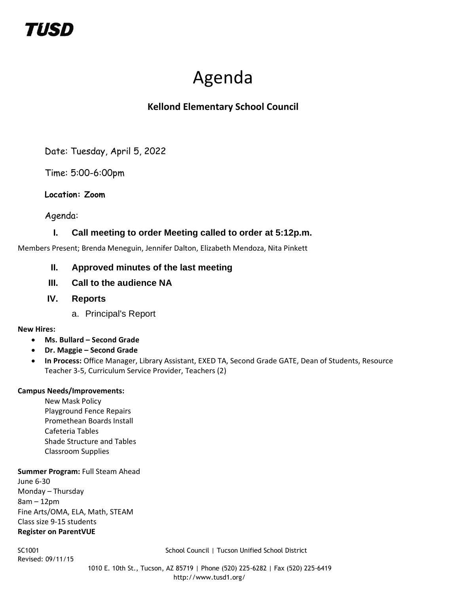## TIISD

# Agenda

## **Kellond Elementary School Council**

Date: Tuesday, April 5, 2022

Time: 5:00-6:00pm

## **Location: Zoom**

Agenda:

## **I. Call meeting to order Meeting called to order at 5:12p.m.**

Members Present; Brenda Meneguin, Jennifer Dalton, Elizabeth Mendoza, Nita Pinkett

## **II. Approved minutes of the last meeting**

- **III. Call to the audience NA**
- **IV. Reports**
	- a. Principal's Report

### **New Hires:**

- **Ms. Bullard – Second Grade**
- **Dr. Maggie – Second Grade**
- **In Process:** Office Manager, Library Assistant, EXED TA, Second Grade GATE, Dean of Students, Resource Teacher 3-5, Curriculum Service Provider, Teachers (2)

#### **Campus Needs/Improvements:**

New Mask Policy Playground Fence Repairs Promethean Boards Install Cafeteria Tables Shade Structure and Tables Classroom Supplies

#### **Summer Program: Full Steam Ahead**

June 6-30 Monday – Thursday 8am – 12pm Fine Arts/OMA, ELA, Math, STEAM Class size 9-15 students **Register on ParentVUE**

Revised: 09/11/15

SC1001 School Council | Tucson Unified School District